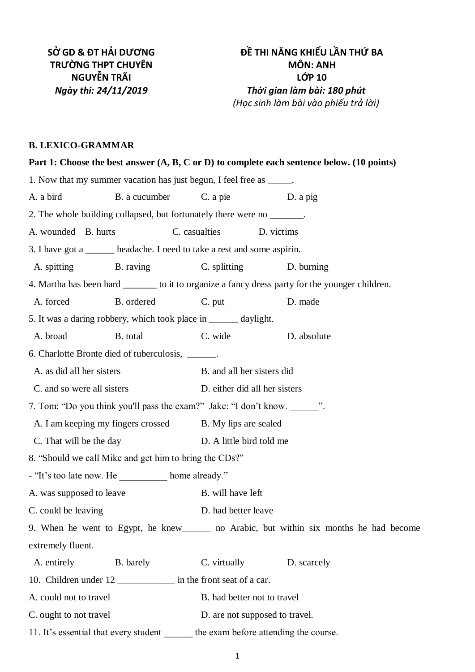# **B. LEXICO-GRAMMAR**

| Part 1: Choose the best answer $(A, B, C \text{ or } D)$ to complete each sentence below. (10 points) |               |                                |            |             |  |
|-------------------------------------------------------------------------------------------------------|---------------|--------------------------------|------------|-------------|--|
| 1. Now that my summer vacation has just begun, I feel free as ______.                                 |               |                                |            |             |  |
| A. a bird                                                                                             | B. a cucumber | C. a pie                       |            | D. a pig    |  |
| 2. The whole building collapsed, but fortunately there were no _______.                               |               |                                |            |             |  |
| A. wounded B. hurts                                                                                   | C. casualties |                                | D. victims |             |  |
| 3. I have got a ________ headache. I need to take a rest and some aspirin.                            |               |                                |            |             |  |
| A. spitting B. raving                                                                                 |               | C. splitting                   |            | D. burning  |  |
| 4. Martha has been hard _________ to it to organize a fancy dress party for the younger children.     |               |                                |            |             |  |
| A. forced                                                                                             | B. ordered    | C. put                         |            | D. made     |  |
| 5. It was a daring robbery, which took place in _______ daylight.                                     |               |                                |            |             |  |
| A. broad                                                                                              | B. total      | C. wide                        |            | D. absolute |  |
| 6. Charlotte Bronte died of tuberculosis, ______.                                                     |               |                                |            |             |  |
| A. as did all her sisters                                                                             |               | B. and all her sisters did     |            |             |  |
| C. and so were all sisters                                                                            |               | D. either did all her sisters  |            |             |  |
| 7. Tom: "Do you think you'll pass the exam?" Jake: "I don't know. ".                                  |               |                                |            |             |  |
| A. I am keeping my fingers crossed B. My lips are sealed                                              |               |                                |            |             |  |
| C. That will be the day                                                                               |               | D. A little bird told me       |            |             |  |
| 8. "Should we call Mike and get him to bring the CDs?"                                                |               |                                |            |             |  |
| - "It's too late now. He __________ home already."                                                    |               |                                |            |             |  |
| A. was supposed to leave                                                                              |               | B. will have left              |            |             |  |
| C. could be leaving                                                                                   |               | D. had better leave            |            |             |  |
| 9. When he went to Egypt, he knew ________ no Arabic, but within six months he had become             |               |                                |            |             |  |
| extremely fluent.                                                                                     |               |                                |            |             |  |
| A. entirely                                                                                           | B. barely     | C. virtually                   |            | D. scarcely |  |
| 10. Children under 12 ________________ in the front seat of a car.                                    |               |                                |            |             |  |
| A. could not to travel                                                                                |               | B. had better not to travel    |            |             |  |
| C. ought to not travel                                                                                |               | D. are not supposed to travel. |            |             |  |
| 11. It's essential that every student the exam before attending the course.                           |               |                                |            |             |  |
|                                                                                                       |               |                                |            |             |  |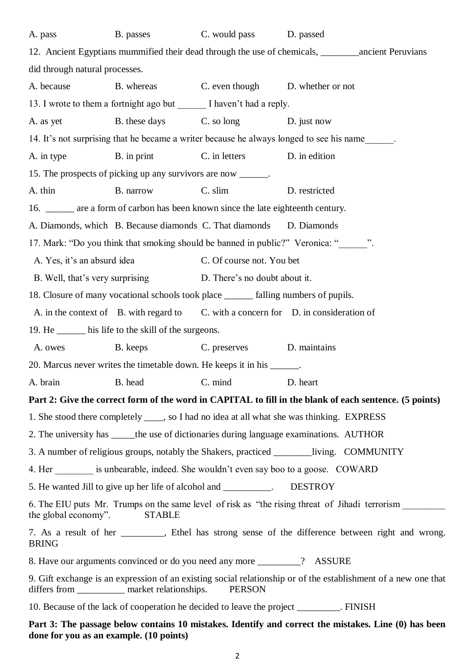| A. pass                                                                                                                                                                              | B. passes                                                                            | C. would pass                               | D. passed                                                                                              |  |
|--------------------------------------------------------------------------------------------------------------------------------------------------------------------------------------|--------------------------------------------------------------------------------------|---------------------------------------------|--------------------------------------------------------------------------------------------------------|--|
|                                                                                                                                                                                      |                                                                                      |                                             | 12. Ancient Egyptians mummified their dead through the use of chemicals, _________ ancient Peruvians   |  |
| did through natural processes.                                                                                                                                                       |                                                                                      |                                             |                                                                                                        |  |
| A. because                                                                                                                                                                           |                                                                                      | B. whereas C. even though D. whether or not |                                                                                                        |  |
|                                                                                                                                                                                      | 13. I wrote to them a fortnight ago but _______ I haven't had a reply.               |                                             |                                                                                                        |  |
| A. as yet                                                                                                                                                                            | B. these days                                                                        | $C.$ so long                                | D. just now                                                                                            |  |
|                                                                                                                                                                                      |                                                                                      |                                             | 14. It's not surprising that he became a writer because he always longed to see his name               |  |
| A. in type                                                                                                                                                                           | B. in print                                                                          | C. in letters                               | D. in edition                                                                                          |  |
|                                                                                                                                                                                      | 15. The prospects of picking up any survivors are now _______.                       |                                             |                                                                                                        |  |
| A. thin                                                                                                                                                                              | B. narrow                                                                            | C. slim                                     | D. restricted                                                                                          |  |
|                                                                                                                                                                                      | 16. ______ are a form of carbon has been known since the late eighteenth century.    |                                             |                                                                                                        |  |
|                                                                                                                                                                                      | A. Diamonds, which B. Because diamonds C. That diamonds D. Diamonds                  |                                             |                                                                                                        |  |
|                                                                                                                                                                                      |                                                                                      |                                             | 17. Mark: "Do you think that smoking should be banned in public?" Veronica: "_______".                 |  |
| A. Yes, it's an absurd idea                                                                                                                                                          |                                                                                      | C. Of course not. You bet                   |                                                                                                        |  |
|                                                                                                                                                                                      | B. Well, that's very surprising D. There's no doubt about it.                        |                                             |                                                                                                        |  |
|                                                                                                                                                                                      | 18. Closure of many vocational schools took place _______ falling numbers of pupils. |                                             |                                                                                                        |  |
|                                                                                                                                                                                      |                                                                                      |                                             | A. in the context of B. with regard to C. with a concern for D. in consideration of                    |  |
|                                                                                                                                                                                      | 19. He _______ his life to the skill of the surgeons.                                |                                             |                                                                                                        |  |
| A. owes                                                                                                                                                                              | B. keeps                                                                             | C. preserves                                | D. maintains                                                                                           |  |
|                                                                                                                                                                                      | 20. Marcus never writes the timetable down. He keeps it in his ______.               |                                             |                                                                                                        |  |
|                                                                                                                                                                                      | A. brain B. head C. mind                                                             |                                             | D. heart                                                                                               |  |
|                                                                                                                                                                                      |                                                                                      |                                             | Part 2: Give the correct form of the word in CAPITAL to fill in the blank of each sentence. (5 points) |  |
|                                                                                                                                                                                      |                                                                                      |                                             | 1. She stood there completely _____, so I had no idea at all what she was thinking. EXPRESS            |  |
|                                                                                                                                                                                      |                                                                                      |                                             | 2. The university has ______ the use of dictionaries during language examinations. AUTHOR              |  |
| 3. A number of religious groups, notably the Shakers, practiced _________________living. COMMUNITY                                                                                   |                                                                                      |                                             |                                                                                                        |  |
| 4. Her _________ is unbearable, indeed. She wouldn't even say boo to a goose. COWARD                                                                                                 |                                                                                      |                                             |                                                                                                        |  |
| 5. He wanted Jill to give up her life of alcohol and __________. DESTROY                                                                                                             |                                                                                      |                                             |                                                                                                        |  |
| 6. The EIU puts Mr. Trumps on the same level of risk as "the rising threat of Jihadi terrorism<br>the global economy".<br><b>STABLE</b>                                              |                                                                                      |                                             |                                                                                                        |  |
| 7. As a result of her ________, Ethel has strong sense of the difference between right and wrong.<br><b>BRING</b>                                                                    |                                                                                      |                                             |                                                                                                        |  |
| 8. Have our arguments convinced or do you need any more ________? ASSURE                                                                                                             |                                                                                      |                                             |                                                                                                        |  |
| 9. Gift exchange is an expression of an existing social relationship or of the establishment of a new one that<br>differs from ______________ market relationships.<br><b>PERSON</b> |                                                                                      |                                             |                                                                                                        |  |
| 10. Because of the lack of cooperation he decided to leave the project ________. FINISH                                                                                              |                                                                                      |                                             |                                                                                                        |  |

**Part 3: The passage below contains 10 mistakes. Identify and correct the mistakes. Line (0) has been done for you as an example. (10 points)**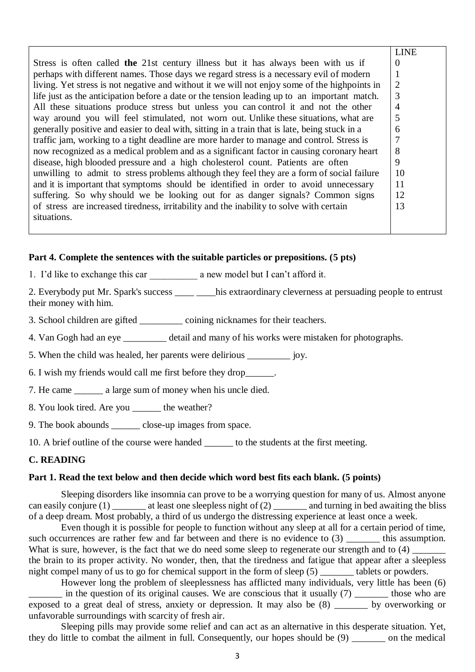|                                                                                               | <b>LINE</b>    |
|-----------------------------------------------------------------------------------------------|----------------|
| Stress is often called the 21st century illness but it has always been with us if             | $\Omega$       |
| perhaps with different names. Those days we regard stress is a necessary evil of modern       | 1              |
| living. Yet stress is not negative and without it we will not enjoy some of the highpoints in | $\overline{2}$ |
| life just as the anticipation before a date or the tension leading up to an important match.  | 3              |
| All these situations produce stress but unless you can control it and not the other           | 4              |
| way around you will feel stimulated, not worn out. Unlike these situations, what are          | 5              |
| generally positive and easier to deal with, sitting in a train that is late, being stuck in a | 6              |
| traffic jam, working to a tight deadline are more harder to manage and control. Stress is     | 7              |
| now recognized as a medical problem and as a significant factor in causing coronary heart     | 8              |
| disease, high blooded pressure and a high cholesterol count. Patients are often               | 9              |
| unwilling to admit to stress problems although they feel they are a form of social failure    | 10             |
| and it is important that symptoms should be identified in order to avoid unnecessary          | 11             |
| suffering. So why should we be looking out for as danger signals? Common signs                | 12             |
| of stress are increased tiredness, irritability and the inability to solve with certain       | 13             |
| situations.                                                                                   |                |
|                                                                                               |                |

## **Part 4. Complete the sentences with the suitable particles or prepositions. (5 pts)**

1. I'd like to exchange this car a new model but I can't afford it.

2. Everybody put Mr. Spark's success \_\_\_\_\_ his extraordinary cleverness at persuading people to entrust their money with him.

3. School children are gifted coining nicknames for their teachers.

4. Van Gogh had an eye detail and many of his works were mistaken for photographs.

5. When the child was healed, her parents were delirious iov.

6. I wish my friends would call me first before they drop\_\_\_\_\_\_.

7. He came a large sum of money when his uncle died.

8. You look tired. Are you the weather?

9. The book abounds close-up images from space.

10. A brief outline of the course were handed to the students at the first meeting.

## **C. READING**

### **Part 1. Read the text below and then decide which word best fits each blank. (5 points)**

Sleeping disorders like insomnia can prove to be a worrying question for many of us. Almost anyone can easily conjure  $(1)$  \_\_\_\_\_\_\_ at least one sleepless night of  $(2)$  \_\_\_\_\_\_\_ and turning in bed awaiting the bliss of a deep dream. Most probably, a third of us undergo the distressing experience at least once a week.

Even though it is possible for people to function without any sleep at all for a certain period of time, such occurrences are rather few and far between and there is no evidence to (3) \_\_\_\_\_\_\_ this assumption. What is sure, however, is the fact that we do need some sleep to regenerate our strength and to (4) the brain to its proper activity. No wonder, then, that the tiredness and fatigue that appear after a sleepless night compel many of us to go for chemical support in the form of sleep  $(5)$  tablets or powders.

However long the problem of sleeplessness has afflicted many individuals, very little has been (6) in the question of its original causes. We are conscious that it usually  $(7)$  \_\_\_\_\_\_\_ those who are exposed to a great deal of stress, anxiety or depression. It may also be (8) by overworking or unfavorable surroundings with scarcity of fresh air.

Sleeping pills may provide some relief and can act as an alternative in this desperate situation. Yet, they do little to combat the ailment in full. Consequently, our hopes should be (9) on the medical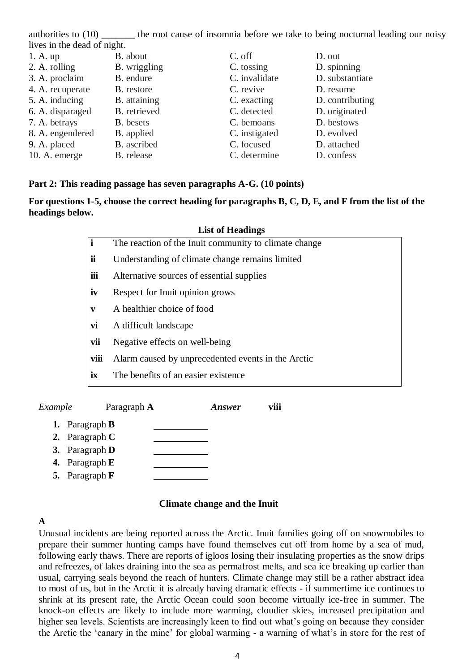authorities to (10) the root cause of insomnia before we take to being nocturnal leading our noisy lives in the dead of night.

| 1. A. up         | B. about            | C. off        | D. out          |
|------------------|---------------------|---------------|-----------------|
| 2. A. rolling    | <b>B.</b> wriggling | C. tossing    | D. spinning     |
| 3. A. proclaim   | B. endure           | C. invalidate | D. substantiate |
| 4. A. recuperate | <b>B.</b> restore   | C. revive     | D. resume       |
| 5. A. inducing   | B. attaining        | C. exacting   | D. contributing |
| 6. A. disparaged | B. retrieved        | C. detected   | D. originated   |
| 7. A. betrays    | <b>B.</b> besets    | C. bemoans    | D. bestows      |
| 8. A. engendered | B. applied          | C. instigated | D. evolved      |
| 9. A. placed     | B. ascribed         | C. focused    | D. attached     |
| 10. A. emerge    | B. release          | C. determine  | D. confess      |

### **Part 2: This reading passage has seven paragraphs A-G. (10 points)**

**For questions 1-5, choose the correct heading for paragraphs B, C, D, E, and F from the list of the headings below.** 

| <b>List of Headings</b> |                                                       |  |  |
|-------------------------|-------------------------------------------------------|--|--|
| $\mathbf{i}$            | The reaction of the Inuit community to climate change |  |  |
| ii                      | Understanding of climate change remains limited       |  |  |
| iii                     | Alternative sources of essential supplies             |  |  |
| iv                      | Respect for Inuit opinion grows                       |  |  |
| V                       | A healthier choice of food                            |  |  |
| vi                      | A difficult landscape                                 |  |  |
| vii                     | Negative effects on well-being                        |  |  |
| viii                    | Alarm caused by unprecedented events in the Arctic    |  |  |
| ix                      | The benefits of an easier existence                   |  |  |

*Example* Paragraph **A** *Answer* **viii 1.** Paragraph **B 2.** Paragraph **C**

- **3.** Paragraph **D**
- **4.** Paragraph **E**
- **5.** Paragraph **F**

## **Climate change and the Inuit**

## **A**

Unusual incidents are being reported across the Arctic. Inuit families going off on snowmobiles to prepare their summer hunting camps have found themselves cut off from home by a sea of mud, following early thaws. There are reports of igloos losing their insulating properties as the snow drips and refreezes, of lakes draining into the sea as permafrost melts, and sea ice breaking up earlier than usual, carrying seals beyond the reach of hunters. Climate change may still be a rather abstract idea to most of us, but in the Arctic it is already having dramatic effects - if summertime ice continues to shrink at its present rate, the Arctic Ocean could soon become virtually ice-free in summer. The knock-on effects are likely to include more warming, cloudier skies, increased precipitation and higher sea levels. Scientists are increasingly keen to find out what's going on because they consider the Arctic the 'canary in the mine' for global warming - a warning of what's in store for the rest of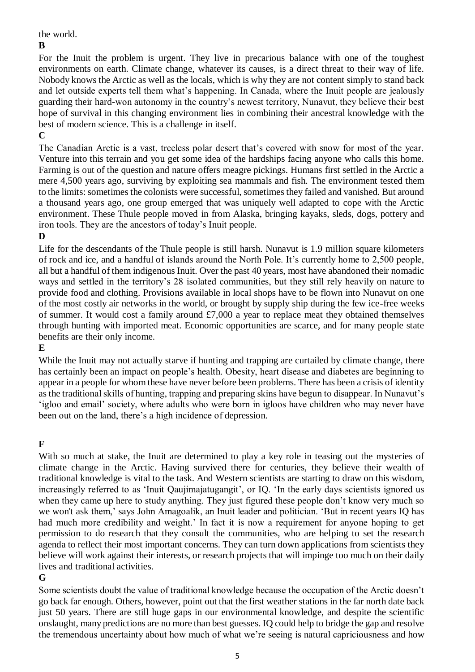the world.

### **B**

For the Inuit the problem is urgent. They live in precarious balance with one of the toughest environments on earth. Climate change, whatever its causes, is a direct threat to their way of life. Nobody knows the Arctic as well as the locals, which is why they are not content simply to stand back and let outside experts tell them what's happening. In Canada, where the Inuit people are jealously guarding their hard-won autonomy in the country's newest territory, Nunavut, they believe their best hope of survival in this changing environment lies in combining their ancestral knowledge with the best of modern science. This is a challenge in itself.

**C**

The Canadian Arctic is a vast, treeless polar desert that's covered with snow for most of the year. Venture into this terrain and you get some idea of the hardships facing anyone who calls this home. Farming is out of the question and nature offers meagre pickings. Humans first settled in the Arctic a mere 4,500 years ago, surviving by exploiting sea mammals and fish. The environment tested them to the limits: sometimes the colonists were successful, sometimes they failed and vanished. But around a thousand years ago, one group emerged that was uniquely well adapted to cope with the Arctic environment. These Thule people moved in from Alaska, bringing kayaks, sleds, dogs, pottery and iron tools. They are the ancestors of today's Inuit people.

# **D**

Life for the descendants of the Thule people is still harsh. Nunavut is 1.9 million square kilometers of rock and ice, and a handful of islands around the North Pole. It's currently home to 2,500 people, all but a handful of them indigenous Inuit. Over the past 40 years, most have abandoned their nomadic ways and settled in the territory's 28 isolated communities, but they still rely heavily on nature to provide food and clothing. Provisions available in local shops have to be flown into Nunavut on one of the most costly air networks in the world, or brought by supply ship during the few ice-free weeks of summer. It would cost a family around £7,000 a year to replace meat they obtained themselves through hunting with imported meat. Economic opportunities are scarce, and for many people state benefits are their only income.

# **E**

While the Inuit may not actually starve if hunting and trapping are curtailed by climate change, there has certainly been an impact on people's health. Obesity, heart disease and diabetes are beginning to appear in a people for whom these have never before been problems. There has been a crisis of identity as the traditional skills of hunting, trapping and preparing skins have begun to disappear. In Nunavut's 'igloo and email' society, where adults who were born in igloos have children who may never have been out on the land, there's a high incidence of depression.

# **F**

With so much at stake, the Inuit are determined to play a key role in teasing out the mysteries of climate change in the Arctic. Having survived there for centuries, they believe their wealth of traditional knowledge is vital to the task. And Western scientists are starting to draw on this wisdom, increasingly referred to as 'Inuit Qaujimajatugangit', or IQ. 'In the early days scientists ignored us when they came up here to study anything. They just figured these people don't know very much so we won't ask them,' says John Amagoalik, an Inuit leader and politician. 'But in recent years IQ has had much more credibility and weight.' In fact it is now a requirement for anyone hoping to get permission to do research that they consult the communities, who are helping to set the research agenda to reflect their most important concerns. They can turn down applications from scientists they believe will work against their interests, or research projects that will impinge too much on their daily lives and traditional activities.

# **G**

Some scientists doubt the value of traditional knowledge because the occupation of the Arctic doesn't go back far enough. Others, however, point out that the first weather stations in the far north date back just 50 years. There are still huge gaps in our environmental knowledge, and despite the scientific onslaught, many predictions are no more than best guesses. IQ could help to bridge the gap and resolve the tremendous uncertainty about how much of what we're seeing is natural capriciousness and how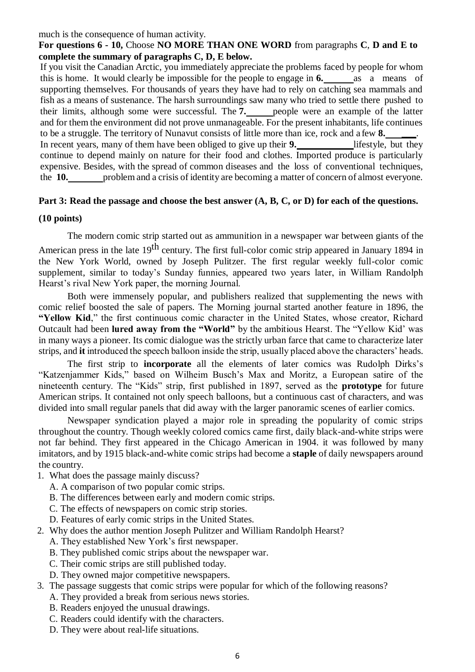#### much is the consequence of human activity.

## **For questions 6 - 10,** Choose **NO MORE THAN ONE WORD** from paragraphs **C**, **D and E to complete the summary of paragraphs C, D, E below.**

If you visit the Canadian Arctic, you immediately appreciate the problems faced by people for whom this is home. It would clearly be impossible for the people to engage in **6.** as a means of supporting themselves. For thousands of years they have had to rely on catching sea mammals and fish as a means of sustenance. The harsh surroundings saw many who tried to settle there pushed to their limits, although some were successful. The **7.** people were an example of the latter and for them the environment did not prove unmanageable. For the present inhabitants, life continues to be a struggle. The territory of Nunavut consists of little more than ice, rock and a few **8. \_\_\_**. In recent years, many of them have been obliged to give up their **9.** lifestyle, but they continue to depend mainly on nature for their food and clothes. Imported produce is particularly expensive. Besides, with the spread of common diseases and the loss of conventional techniques, the **10.** problem and a crisis of identity are becoming a matter of concern of almost everyone.

### Part 3: Read the passage and choose the best answer  $(A, B, C, or D)$  for each of the questions.

### **(10 points)**

The modern comic strip started out as ammunition in a newspaper war between giants of the

American press in the late 19<sup>th</sup> century. The first full-color comic strip appeared in January 1894 in the New York World, owned by Joseph Pulitzer. The first regular weekly full-color comic supplement, similar to today's Sunday funnies, appeared two years later, in William Randolph Hearst's rival New York paper, the morning Journal.

Both were immensely popular, and publishers realized that supplementing the news with comic relief boosted the sale of papers. The Morning journal started another feature in 1896, the **"Yellow Kid**," the first continuous comic character in the United States, whose creator, Richard Outcault had been **lured away from the "World"** by the ambitious Hearst. The "Yellow Kid' was in many ways a pioneer. Its comic dialogue was the strictly urban farce that came to characterize later strips, and **it** introduced the speech balloon inside the strip, usually placed above the characters' heads.

The first strip to **incorporate** all the elements of later comics was Rudolph Dirks's "Katzenjammer Kids," based on Wilheim Busch's Max and Moritz, a European satire of the nineteenth century. The "Kids" strip, first published in 1897, served as the **prototype** for future American strips. It contained not only speech balloons, but a continuous cast of characters, and was divided into small regular panels that did away with the larger panoramic scenes of earlier comics.

Newspaper syndication played a major role in spreading the popularity of comic strips throughout the country. Though weekly colored comics came first, daily black-and-white strips were not far behind. They first appeared in the Chicago American in 1904. it was followed by many imitators, and by 1915 black-and-white comic strips had become a **staple** of daily newspapers around the country.

- 1. What does the passage mainly discuss?
	- A. A comparison of two popular comic strips.
	- B. The differences between early and modern comic strips.
	- C. The effects of newspapers on comic strip stories.
	- D. Features of early comic strips in the United States.
- 2. Why does the author mention Joseph Pulitzer and William Randolph Hearst?
	- A. They established New York's first newspaper.
	- B. They published comic strips about the newspaper war.
	- C. Their comic strips are still published today.
	- D. They owned major competitive newspapers.
- 3. The passage suggests that comic strips were popular for which of the following reasons?
	- A. They provided a break from serious news stories.
	- B. Readers enjoyed the unusual drawings.
	- C. Readers could identify with the characters.
	- D. They were about real-life situations.